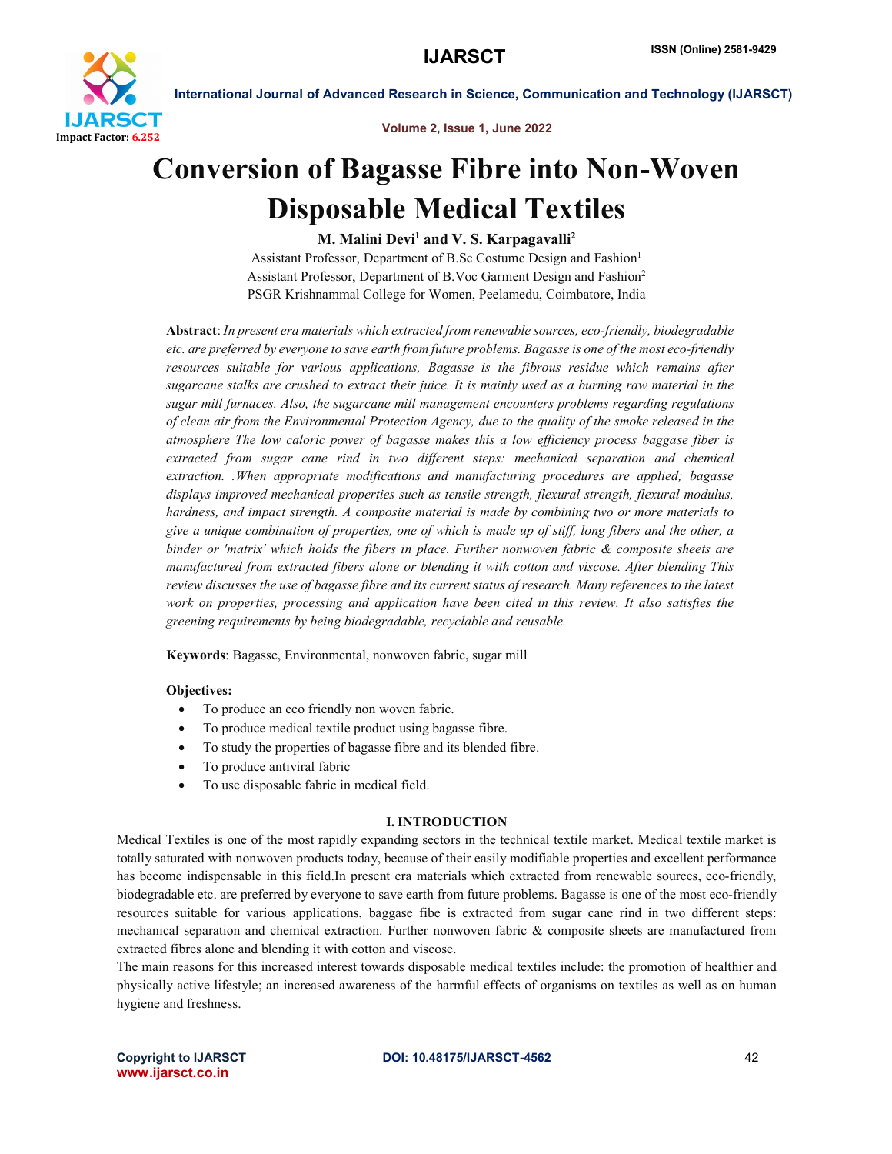

Volume 2, Issue 1, June 2022

# Conversion of Bagasse Fibre into Non-Woven Disposable Medical Textiles

# M. Malini Devi<sup>1</sup> and V. S. Karpagavalli<sup>2</sup>

Assistant Professor, Department of B.Sc Costume Design and Fashion<sup>1</sup> Assistant Professor, Department of B.Voc Garment Design and Fashion2 PSGR Krishnammal College for Women, Peelamedu, Coimbatore, India

Abstract: *In present era materials which extracted from renewable sources, eco-friendly, biodegradable etc. are preferred by everyone to save earth from future problems. Bagasse is one of the most eco-friendly resources suitable for various applications, Bagasse is the fibrous residue which remains after sugarcane stalks are crushed to extract their juice. It is mainly used as a burning raw material in the sugar mill furnaces. Also, the sugarcane mill management encounters problems regarding regulations of clean air from the Environmental Protection Agency, due to the quality of the smoke released in the atmosphere The low caloric power of bagasse makes this a low efficiency process baggase fiber is extracted from sugar cane rind in two different steps: mechanical separation and chemical extraction. .When appropriate modifications and manufacturing procedures are applied; bagasse displays improved mechanical properties such as tensile strength, flexural strength, flexural modulus, hardness, and impact strength. A composite material is made by combining two or more materials to give a unique combination of properties, one of which is made up of stiff, long fibers and the other, a binder or 'matrix' which holds the fibers in place. Further nonwoven fabric & composite sheets are manufactured from extracted fibers alone or blending it with cotton and viscose. After blending This review discusses the use of bagasse fibre and its current status of research. Many references to the latest work on properties, processing and application have been cited in this review. It also satisfies the greening requirements by being biodegradable, recyclable and reusable.*

Keywords: Bagasse, Environmental, nonwoven fabric, sugar mill

# Objectives:

- To produce an eco friendly non woven fabric.
- To produce medical textile product using bagasse fibre.
- To study the properties of bagasse fibre and its blended fibre.
- To produce antiviral fabric
- To use disposable fabric in medical field.

#### I. INTRODUCTION

Medical Textiles is one of the most rapidly expanding sectors in the technical textile market. Medical textile market is totally saturated with nonwoven products today, because of their easily modifiable properties and excellent performance has become indispensable in this field.In present era materials which extracted from renewable sources, eco-friendly, biodegradable etc. are preferred by everyone to save earth from future problems. Bagasse is one of the most eco-friendly resources suitable for various applications, baggase fibe is extracted from sugar cane rind in two different steps: mechanical separation and chemical extraction. Further nonwoven fabric & composite sheets are manufactured from extracted fibres alone and blending it with cotton and viscose.

The main reasons for this increased interest towards disposable medical textiles include: the promotion of healthier and physically active lifestyle; an increased awareness of the harmful effects of organisms on textiles as well as on human hygiene and freshness.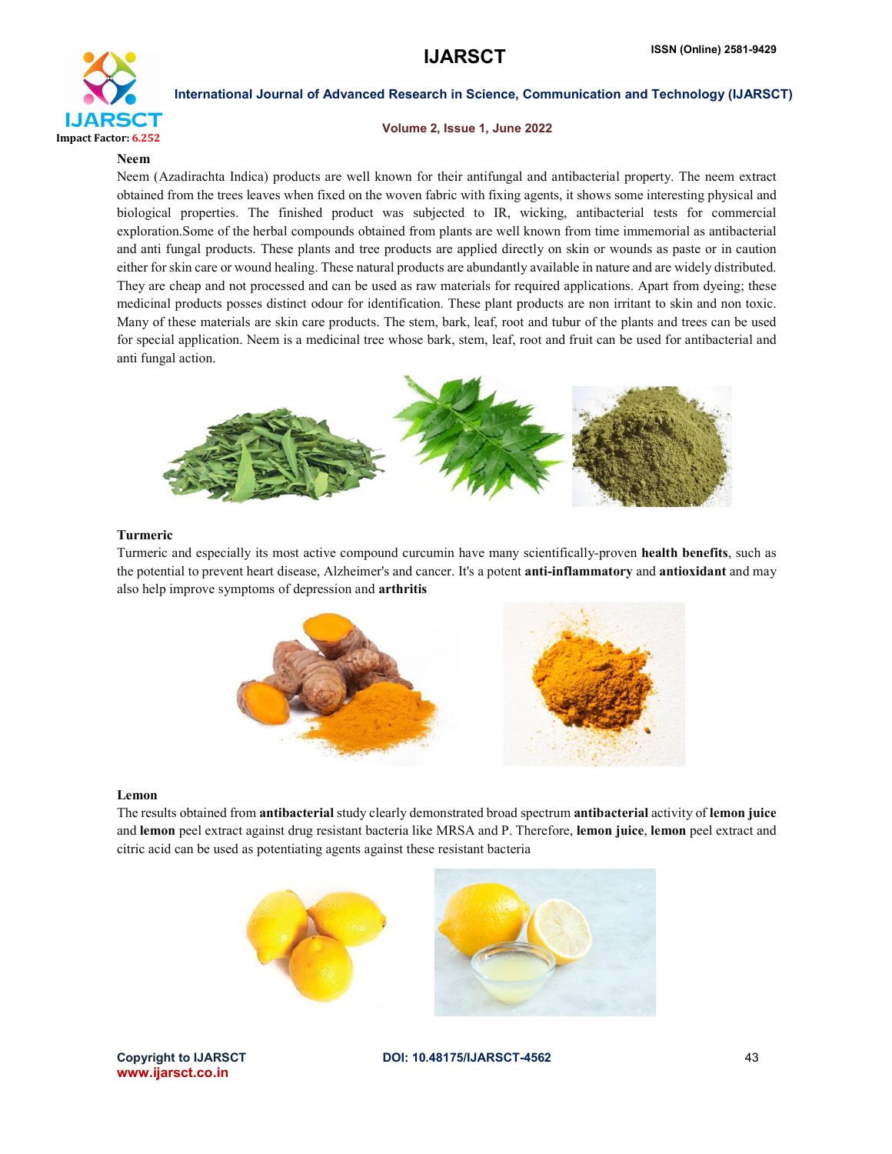

### Volume 2, Issue 1, June 2022

#### Neem

Neem (Azadirachta Indica) products are well known for their antifungal and antibacterial property. The neem extract obtained from the trees leaves when fixed on the woven fabric with fixing agents, it shows some interesting physical and biological properties. The finished product was subjected to IR, wicking, antibacterial tests for commercial exploration.Some of the herbal compounds obtained from plants are well known from time immemorial as antibacterial and anti fungal products. These plants and tree products are applied directly on skin or wounds as paste or in caution either for skin care or wound healing. These natural products are abundantly available in nature and are widely distributed. They are cheap and not processed and can be used as raw materials for required applications. Apart from dyeing; these medicinal products posses distinct odour for identification. These plant products are non irritant to skin and non toxic. Many of these materials are skin care products. The stem, bark, leaf, root and tubur of the plants and trees can be used for special application. Neem is a medicinal tree whose bark, stem, leaf, root and fruit can be used for antibacterial and anti fungal action.



#### Turmeric

Turmeric and especially its most active compound curcumin have many scientifically-proven health benefits, such as the potential to prevent heart disease, Alzheimer's and cancer. It's a potent **anti-inflammatory** and **antioxidant** and may also help improve symptoms of depression and arthritis



#### Lemon

The results obtained from antibacterial study clearly demonstrated broad spectrum antibacterial activity of lemon juice and lemon peel extract against drug resistant bacteria like MRSA and P. Therefore, lemon juice, lemon peel extract and citric acid can be used as potentiating agents against these resistant bacteria



www.ijarsct.co.in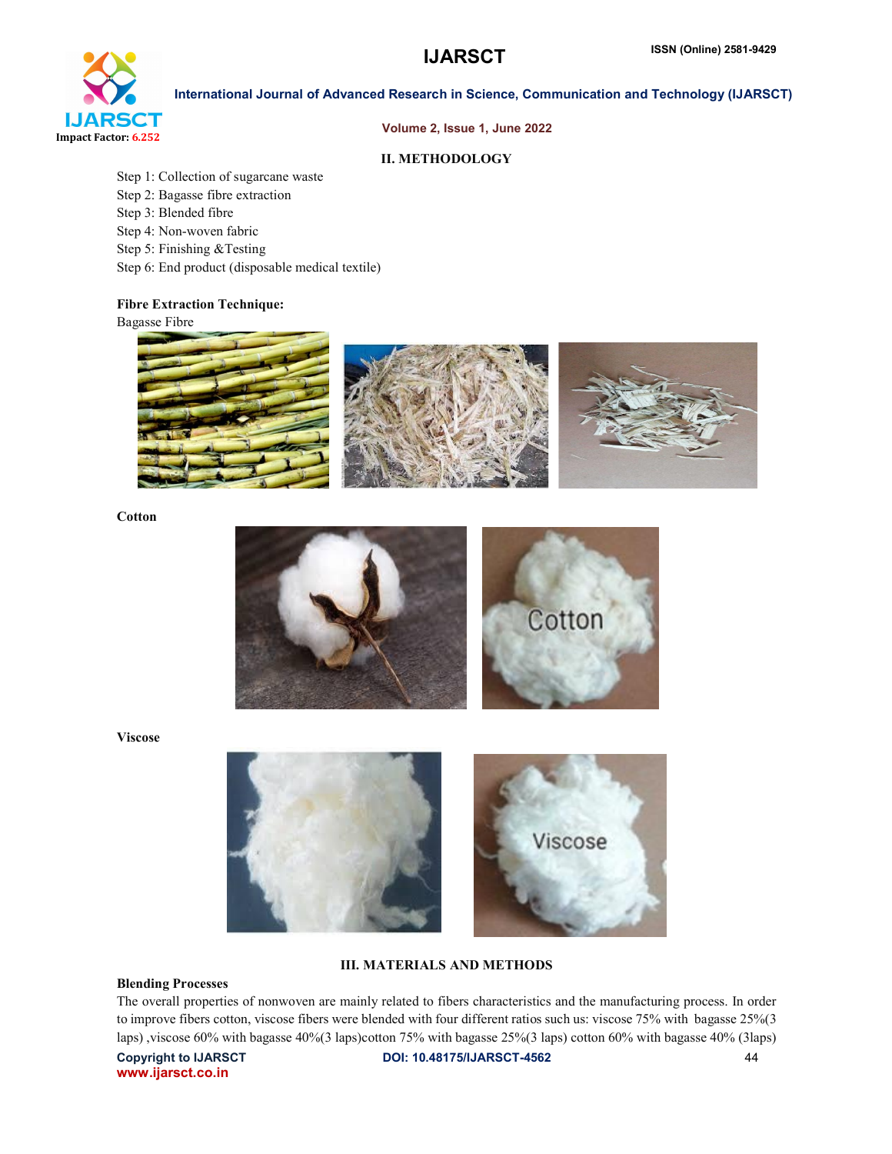

#### Volume 2, Issue 1, June 2022

### II. METHODOLOGY

- Step 1: Collection of sugarcane waste
- Step 2: Bagasse fibre extraction
- Step 3: Blended fibre
- Step 4: Non-woven fabric
- Step 5: Finishing &Testing
- Step 6: End product (disposable medical textile)

# Fibre Extraction Technique:

Bagasse Fibre



**Cotton** 



Viscose



# III. MATERIALS AND METHODS

#### Blending Processes

The overall properties of nonwoven are mainly related to fibers characteristics and the manufacturing process. In order to improve fibers cotton, viscose fibers were blended with four different ratios such us: viscose 75% with bagasse 25%(3 laps) ,viscose 60% with bagasse 40%(3 laps)cotton 75% with bagasse 25%(3 laps) cotton 60% with bagasse 40% (3laps)

www.ijarsct.co.in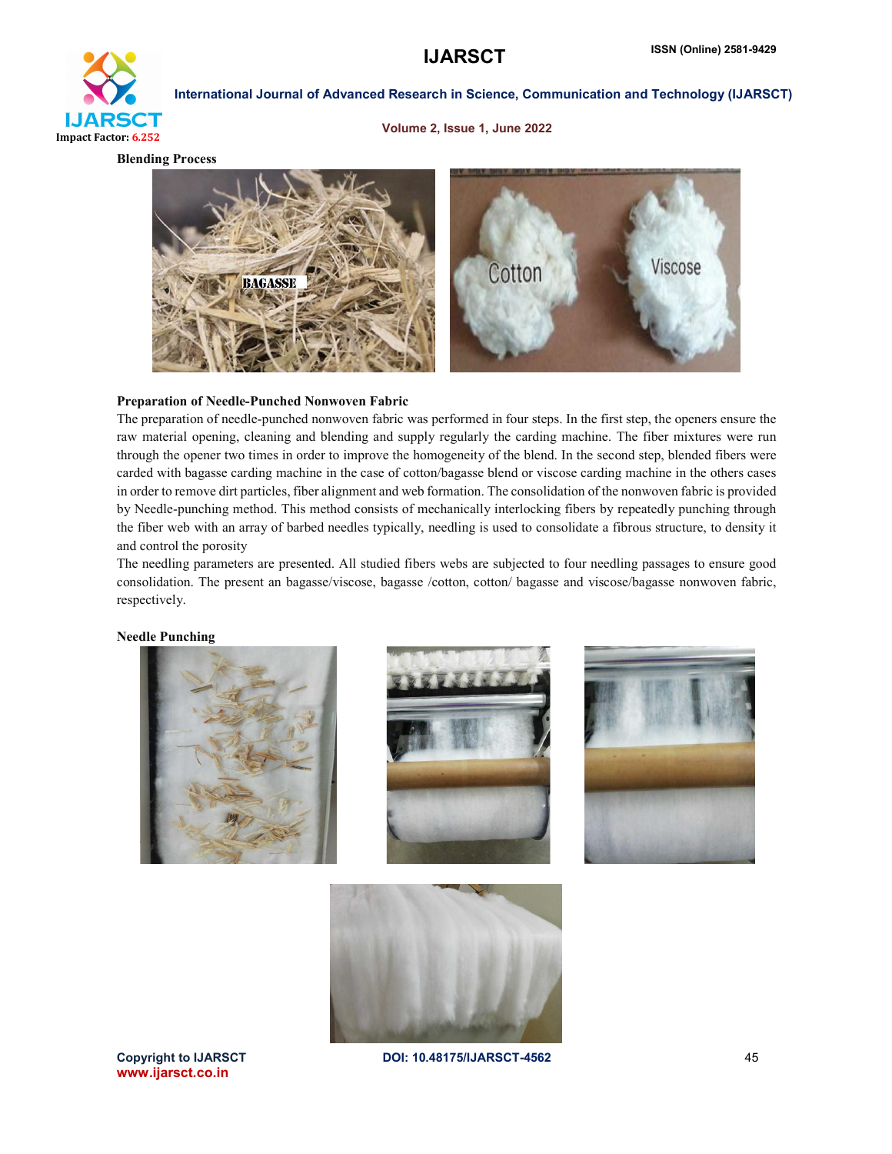

Volume 2, Issue 1, June 2022

Blending Process



### Preparation of Needle-Punched Nonwoven Fabric

The preparation of needle-punched nonwoven fabric was performed in four steps. In the first step, the openers ensure the raw material opening, cleaning and blending and supply regularly the carding machine. The fiber mixtures were run through the opener two times in order to improve the homogeneity of the blend. In the second step, blended fibers were carded with bagasse carding machine in the case of cotton/bagasse blend or viscose carding machine in the others cases in order to remove dirt particles, fiber alignment and web formation. The consolidation of the nonwoven fabric is provided by Needle-punching method. This method consists of mechanically interlocking fibers by repeatedly punching through the fiber web with an array of barbed needles typically, needling is used to consolidate a fibrous structure, to density it and control the porosity

The needling parameters are presented. All studied fibers webs are subjected to four needling passages to ensure good consolidation. The present an bagasse/viscose, bagasse /cotton, cotton/ bagasse and viscose/bagasse nonwoven fabric, respectively.

Needle Punching









www.ijarsct.co.in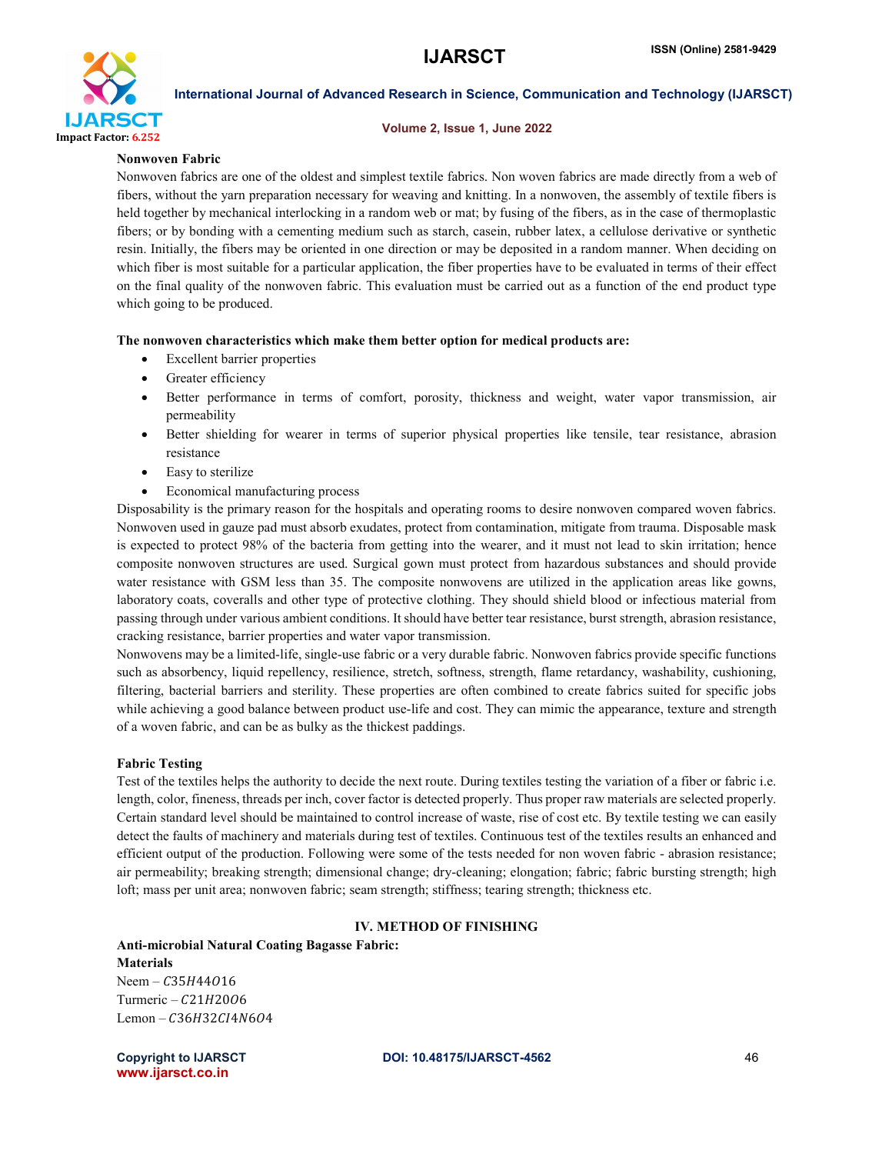

#### Volume 2, Issue 1, June 2022

#### Nonwoven Fabric

Nonwoven fabrics are one of the oldest and simplest textile fabrics. Non woven fabrics are made directly from a web of fibers, without the yarn preparation necessary for weaving and knitting. In a nonwoven, the assembly of textile fibers is held together by mechanical interlocking in a random web or mat; by fusing of the fibers, as in the case of thermoplastic fibers; or by bonding with a cementing medium such as starch, casein, rubber latex, a cellulose derivative or synthetic resin. Initially, the fibers may be oriented in one direction or may be deposited in a random manner. When deciding on which fiber is most suitable for a particular application, the fiber properties have to be evaluated in terms of their effect on the final quality of the nonwoven fabric. This evaluation must be carried out as a function of the end product type which going to be produced.

#### The nonwoven characteristics which make them better option for medical products are:

- Excellent barrier properties
- Greater efficiency
- Better performance in terms of comfort, porosity, thickness and weight, water vapor transmission, air permeability
- Better shielding for wearer in terms of superior physical properties like tensile, tear resistance, abrasion resistance
- Easy to sterilize
- Economical manufacturing process

Disposability is the primary reason for the hospitals and operating rooms to desire nonwoven compared woven fabrics. Nonwoven used in gauze pad must absorb exudates, protect from contamination, mitigate from trauma. Disposable mask is expected to protect 98% of the bacteria from getting into the wearer, and it must not lead to skin irritation; hence composite nonwoven structures are used. Surgical gown must protect from hazardous substances and should provide water resistance with GSM less than 35. The composite nonwovens are utilized in the application areas like gowns, laboratory coats, coveralls and other type of protective clothing. They should shield blood or infectious material from passing through under various ambient conditions. It should have better tear resistance, burst strength, abrasion resistance, cracking resistance, barrier properties and water vapor transmission.

Nonwovens may be a limited-life, single-use fabric or a very durable fabric. Nonwoven fabrics provide specific functions such as absorbency, liquid repellency, resilience, stretch, softness, strength, flame retardancy, washability, cushioning, filtering, bacterial barriers and sterility. These properties are often combined to create fabrics suited for specific jobs while achieving a good balance between product use-life and cost. They can mimic the appearance, texture and strength of a woven fabric, and can be as bulky as the thickest paddings.

#### Fabric Testing

Test of the textiles helps the authority to decide the next route. During textiles testing the variation of a fiber or fabric i.e. length, color, fineness, threads per inch, cover factor is detected properly. Thus proper raw materials are selected properly. Certain standard level should be maintained to control increase of waste, rise of cost etc. By textile testing we can easily detect the faults of machinery and materials during test of textiles. Continuous test of the textiles results an enhanced and efficient output of the production. Following were some of the tests needed for non woven fabric - abrasion resistance; air permeability; breaking strength; dimensional change; dry-cleaning; elongation; fabric; fabric bursting strength; high loft; mass per unit area; nonwoven fabric; seam strength; stiffness; tearing strength; thickness etc.

#### IV. METHOD OF FINISHING

### Anti-microbial Natural Coating Bagasse Fabric: **Materials** Neem –  $C35H44016$

Turmeric –  $C21H2006$ Lemon  $-C36H32C14N604$ 

www.ijarsct.co.in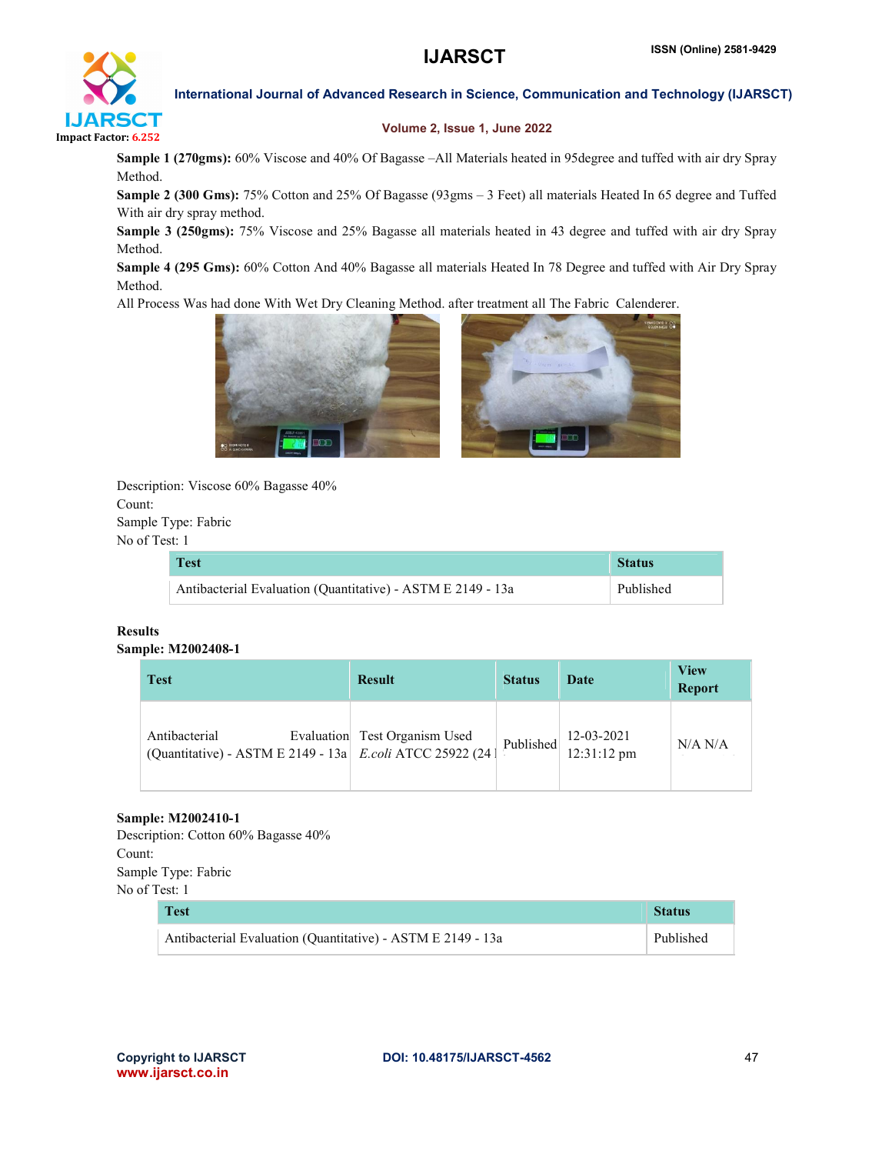

# Volume 2, Issue 1, June 2022

Sample 1 (270gms): 60% Viscose and 40% Of Bagasse –All Materials heated in 95degree and tuffed with air dry Spray Method.

Sample 2 (300 Gms): 75% Cotton and 25% Of Bagasse (93gms – 3 Feet) all materials Heated In 65 degree and Tuffed With air dry spray method.

Sample 3 (250gms): 75% Viscose and 25% Bagasse all materials heated in 43 degree and tuffed with air dry Spray Method.

Sample 4 (295 Gms): 60% Cotton And 40% Bagasse all materials Heated In 78 Degree and tuffed with Air Dry Spray Method.

All Process Was had done With Wet Dry Cleaning Method. after treatment all The Fabric Calenderer.



Description: Viscose 60% Bagasse 40% Count: Sample Type: Fabric No of Test: 1

| <b>Test</b>                                                 | <b>Status</b> |  |
|-------------------------------------------------------------|---------------|--|
| Antibacterial Evaluation (Quantitative) - ASTM E 2149 - 13a | Published     |  |

# Results Sample: M2002408-1

| <b>Test</b>                                                                | <b>Result</b>                 | <b>Status</b> | Date                                  | <b>View</b><br><b>Report</b> |
|----------------------------------------------------------------------------|-------------------------------|---------------|---------------------------------------|------------------------------|
| Antibacterial<br>(Quantitative) - ASTM E 2149 - 13a E.coli ATCC 25922 (24) | Evaluation Test Organism Used | Published     | $12-03-2021$<br>$12:31:12 \text{ pm}$ | N/A N/A                      |

# Sample: M2002410-1

Description: Cotton 60% Bagasse 40% Count: Sample Type: Fabric No of Test: 1

| <b>Test</b>                                                 | <b>Status</b> |
|-------------------------------------------------------------|---------------|
| Antibacterial Evaluation (Quantitative) - ASTM E 2149 - 13a | Published     |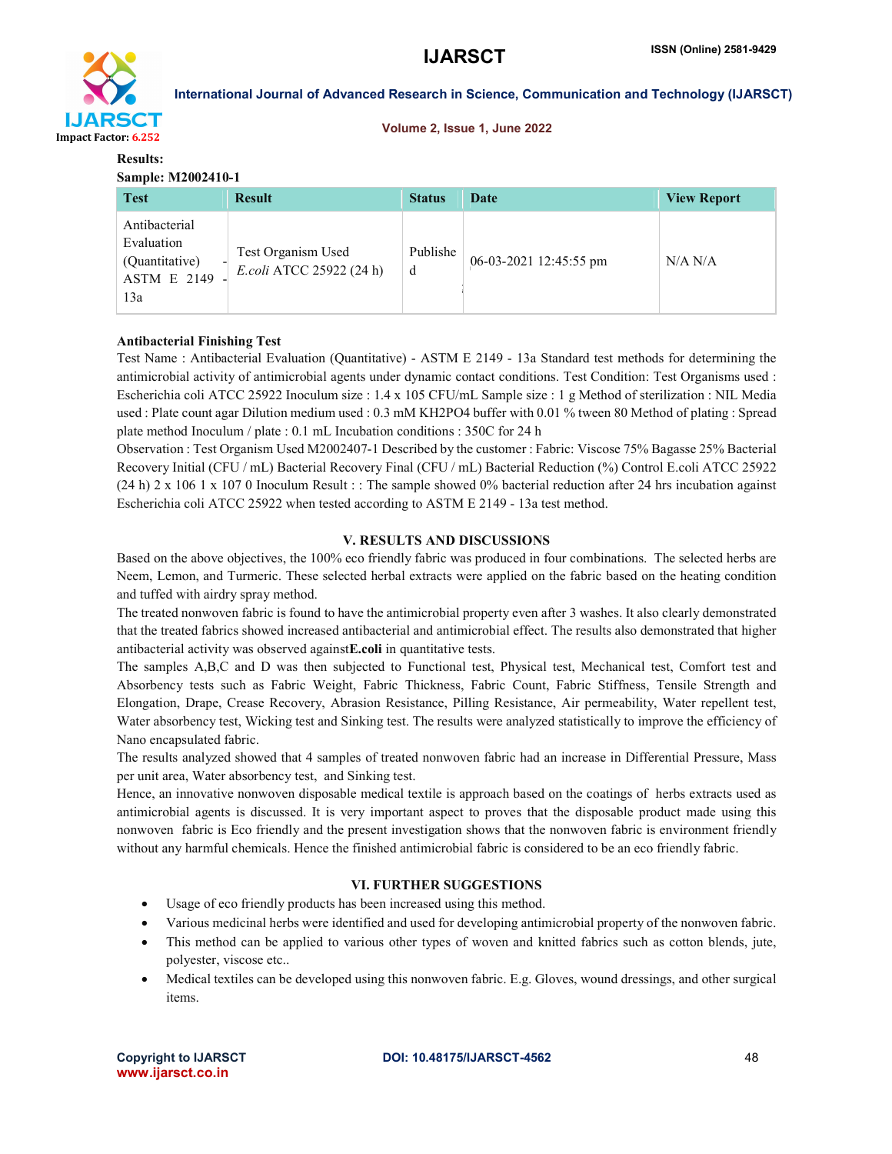

#### Volume 2, Issue 1, June 2022

#### Results: Sample: M2002410-1

| <b>Test</b>                                                                | <b>Result</b>                                  | <b>Status</b> | Date                   | <b>View Report</b> |
|----------------------------------------------------------------------------|------------------------------------------------|---------------|------------------------|--------------------|
| Antibacterial<br>Evaluation<br>(Quantitative)<br><b>ASTM E 2149</b><br>13a | Test Organism Used<br>E.coli ATCC 25922 (24 h) | Publishe<br>d | 06-03-2021 12:45:55 pm | N/A N/A            |

### Antibacterial Finishing Test

Test Name : Antibacterial Evaluation (Quantitative) - ASTM E 2149 - 13a Standard test methods for determining the antimicrobial activity of antimicrobial agents under dynamic contact conditions. Test Condition: Test Organisms used : Escherichia coli ATCC 25922 Inoculum size : 1.4 x 105 CFU/mL Sample size : 1 g Method of sterilization : NIL Media used : Plate count agar Dilution medium used : 0.3 mM KH2PO4 buffer with 0.01 % tween 80 Method of plating : Spread plate method Inoculum / plate : 0.1 mL Incubation conditions : 350C for 24 h

Observation : Test Organism Used M2002407-1 Described by the customer : Fabric: Viscose 75% Bagasse 25% Bacterial Recovery Initial (CFU / mL) Bacterial Recovery Final (CFU / mL) Bacterial Reduction (%) Control E.coli ATCC 25922 (24 h) 2 x 106 1 x 107 0 Inoculum Result : : The sample showed 0% bacterial reduction after 24 hrs incubation against Escherichia coli ATCC 25922 when tested according to ASTM E 2149 - 13a test method.

### V. RESULTS AND DISCUSSIONS

Based on the above objectives, the 100% eco friendly fabric was produced in four combinations. The selected herbs are Neem, Lemon, and Turmeric. These selected herbal extracts were applied on the fabric based on the heating condition and tuffed with airdry spray method.

The treated nonwoven fabric is found to have the antimicrobial property even after 3 washes. It also clearly demonstrated that the treated fabrics showed increased antibacterial and antimicrobial effect. The results also demonstrated that higher antibacterial activity was observed againstE.coli in quantitative tests.

The samples A,B,C and D was then subjected to Functional test, Physical test, Mechanical test, Comfort test and Absorbency tests such as Fabric Weight, Fabric Thickness, Fabric Count, Fabric Stiffness, Tensile Strength and Elongation, Drape, Crease Recovery, Abrasion Resistance, Pilling Resistance, Air permeability, Water repellent test, Water absorbency test, Wicking test and Sinking test. The results were analyzed statistically to improve the efficiency of Nano encapsulated fabric.

The results analyzed showed that 4 samples of treated nonwoven fabric had an increase in Differential Pressure, Mass per unit area, Water absorbency test, and Sinking test.

Hence, an innovative nonwoven disposable medical textile is approach based on the coatings of herbs extracts used as antimicrobial agents is discussed. It is very important aspect to proves that the disposable product made using this nonwoven fabric is Eco friendly and the present investigation shows that the nonwoven fabric is environment friendly without any harmful chemicals. Hence the finished antimicrobial fabric is considered to be an eco friendly fabric.

# VI. FURTHER SUGGESTIONS

- Usage of eco friendly products has been increased using this method.
- Various medicinal herbs were identified and used for developing antimicrobial property of the nonwoven fabric.
- This method can be applied to various other types of woven and knitted fabrics such as cotton blends, jute, polyester, viscose etc..
- Medical textiles can be developed using this nonwoven fabric. E.g. Gloves, wound dressings, and other surgical items.

www.ijarsct.co.in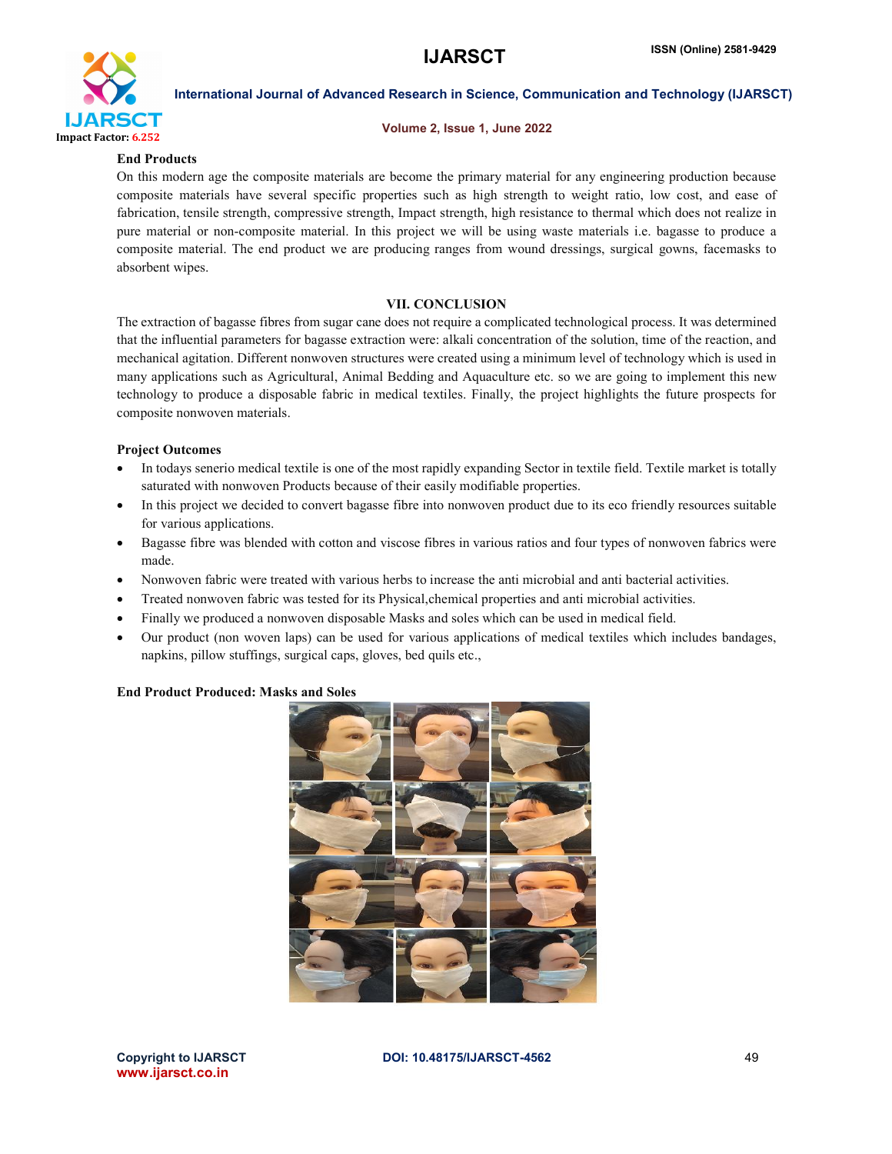

#### Volume 2, Issue 1, June 2022

#### End Products

On this modern age the composite materials are become the primary material for any engineering production because composite materials have several specific properties such as high strength to weight ratio, low cost, and ease of fabrication, tensile strength, compressive strength, Impact strength, high resistance to thermal which does not realize in pure material or non-composite material. In this project we will be using waste materials i.e. bagasse to produce a composite material. The end product we are producing ranges from wound dressings, surgical gowns, facemasks to absorbent wipes.

### VII. CONCLUSION

The extraction of bagasse fibres from sugar cane does not require a complicated technological process. It was determined that the influential parameters for bagasse extraction were: alkali concentration of the solution, time of the reaction, and mechanical agitation. Different nonwoven structures were created using a minimum level of technology which is used in many applications such as Agricultural, Animal Bedding and Aquaculture etc. so we are going to implement this new technology to produce a disposable fabric in medical textiles. Finally, the project highlights the future prospects for composite nonwoven materials.

#### Project Outcomes

- In todays senerio medical textile is one of the most rapidly expanding Sector in textile field. Textile market is totally saturated with nonwoven Products because of their easily modifiable properties.
- In this project we decided to convert bagasse fibre into nonwoven product due to its eco friendly resources suitable for various applications.
- Bagasse fibre was blended with cotton and viscose fibres in various ratios and four types of nonwoven fabrics were made.
- Nonwoven fabric were treated with various herbs to increase the anti microbial and anti bacterial activities.
- Treated nonwoven fabric was tested for its Physical,chemical properties and anti microbial activities.
- Finally we produced a nonwoven disposable Masks and soles which can be used in medical field.
- Our product (non woven laps) can be used for various applications of medical textiles which includes bandages, napkins, pillow stuffings, surgical caps, gloves, bed quils etc.,

### End Product Produced: Masks and Soles



www.ijarsct.co.in